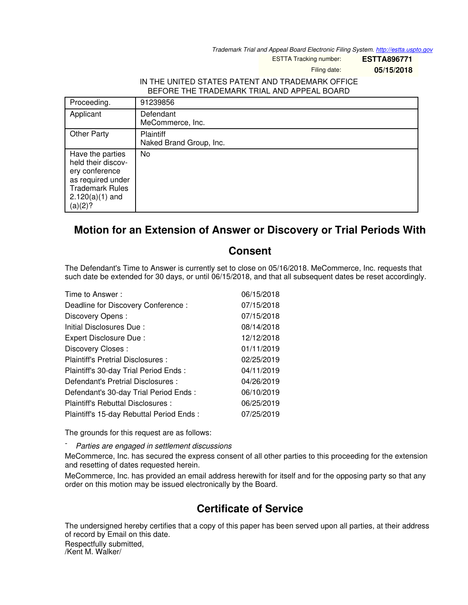*Trademark Trial and Appeal Board Electronic Filing System. <http://estta.uspto.gov>*

ESTTA Tracking number: **ESTTA896771**

Filing date: **05/15/2018**

## IN THE UNITED STATES PATENT AND TRADEMARK OFFICE BEFORE THE TRADEMARK TRIAL AND APPEAL BOARD

| Proceeding.                                                                                                                             | 91239856                                    |
|-----------------------------------------------------------------------------------------------------------------------------------------|---------------------------------------------|
| Applicant                                                                                                                               | Defendant<br>MeCommerce, Inc.               |
| <b>Other Party</b>                                                                                                                      | <b>Plaintiff</b><br>Naked Brand Group, Inc. |
| Have the parties<br>held their discov-<br>ery conference<br>as required under<br><b>Trademark Rules</b><br>$2.120(a)(1)$ and<br>(a)(2)? | No                                          |

## **Motion for an Extension of Answer or Discovery or Trial Periods With**

## **Consent**

The Defendant's Time to Answer is currently set to close on 05/16/2018. MeCommerce, Inc. requests that such date be extended for 30 days, or until 06/15/2018, and that all subsequent dates be reset accordingly.

| Time to Answer:                          | 06/15/2018 |
|------------------------------------------|------------|
| Deadline for Discovery Conference:       | 07/15/2018 |
| Discovery Opens:                         | 07/15/2018 |
| Initial Disclosures Due:                 | 08/14/2018 |
| Expert Disclosure Due:                   | 12/12/2018 |
| Discovery Closes:                        | 01/11/2019 |
| Plaintiff's Pretrial Disclosures :       | 02/25/2019 |
| Plaintiff's 30-day Trial Period Ends:    | 04/11/2019 |
| Defendant's Pretrial Disclosures :       | 04/26/2019 |
| Defendant's 30-day Trial Period Ends:    | 06/10/2019 |
| Plaintiff's Rebuttal Disclosures:        | 06/25/2019 |
| Plaintiff's 15-day Rebuttal Period Ends: | 07/25/2019 |

The grounds for this request are as follows:

- *Parties are engaged in settlement discussions*

MeCommerce, Inc. has secured the express consent of all other parties to this proceeding for the extension and resetting of dates requested herein.

MeCommerce, Inc. has provided an email address herewith for itself and for the opposing party so that any order on this motion may be issued electronically by the Board.

## **Certificate of Service**

The undersigned hereby certifies that a copy of this paper has been served upon all parties, at their address of record by Email on this date.

Respectfully submitted, /Kent M. Walker/